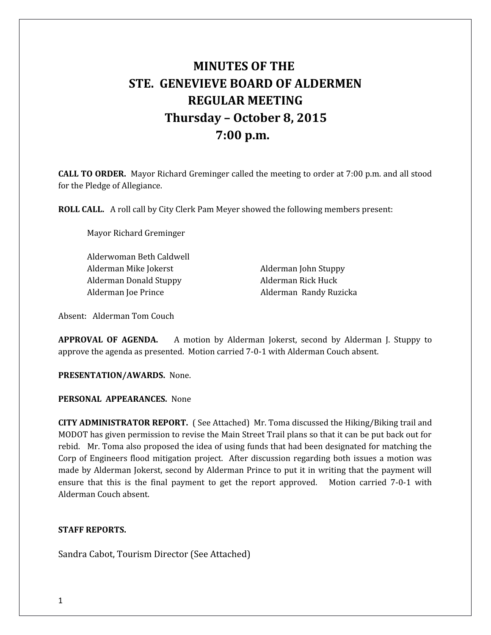# **MINUTES OF THE STE. GENEVIEVE BOARD OF ALDERMEN REGULAR MEETING Thursday – October 8, 2015 7:00 p.m.**

**CALL TO ORDER.** Mayor Richard Greminger called the meeting to order at 7:00 p.m. and all stood for the Pledge of Allegiance.

**ROLL CALL.** A roll call by City Clerk Pam Meyer showed the following members present:

Mayor Richard Greminger

Alderwoman Beth Caldwell Alderman Mike Jokerst **Alderman John Stuppy** Alderman Donald Stuppy Alderman Rick Huck Alderman Joe Prince Alderman Randy Ruzicka

Absent: Alderman Tom Couch

**APPROVAL OF AGENDA.** A motion by Alderman Jokerst, second by Alderman J. Stuppy to approve the agenda as presented. Motion carried 7-0-1 with Alderman Couch absent.

**PRESENTATION/AWARDS.** None.

**PERSONAL APPEARANCES.** None

**CITY ADMINISTRATOR REPORT.** ( See Attached) Mr. Toma discussed the Hiking/Biking trail and MODOT has given permission to revise the Main Street Trail plans so that it can be put back out for rebid. Mr. Toma also proposed the idea of using funds that had been designated for matching the Corp of Engineers flood mitigation project. After discussion regarding both issues a motion was made by Alderman Jokerst, second by Alderman Prince to put it in writing that the payment will ensure that this is the final payment to get the report approved. Motion carried 7-0-1 with Alderman Couch absent.

## **STAFF REPORTS.**

Sandra Cabot, Tourism Director (See Attached)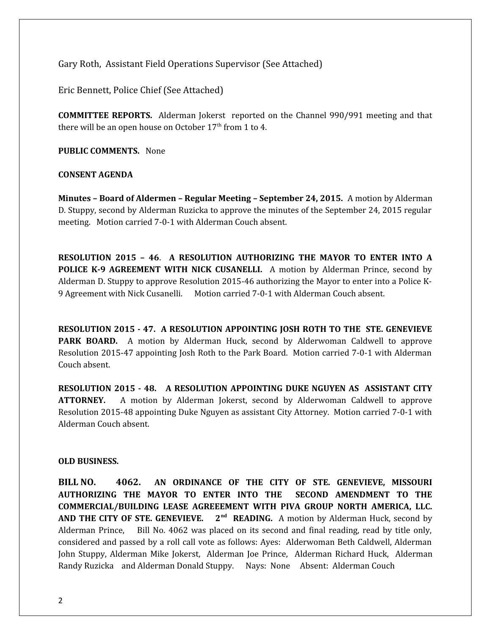Gary Roth, Assistant Field Operations Supervisor (See Attached)

Eric Bennett, Police Chief (See Attached)

**COMMITTEE REPORTS.** Alderman Jokerst reported on the Channel 990/991 meeting and that there will be an open house on October  $17<sup>th</sup>$  from 1 to 4.

**PUBLIC COMMENTS.** None

## **CONSENT AGENDA**

**Minutes – Board of Aldermen – Regular Meeting – September 24, 2015.** A motion by Alderman D. Stuppy, second by Alderman Ruzicka to approve the minutes of the September 24, 2015 regular meeting. Motion carried 7-0-1 with Alderman Couch absent.

**RESOLUTION 2015 – 46**. **A RESOLUTION AUTHORIZING THE MAYOR TO ENTER INTO A POLICE K-9 AGREEMENT WITH NICK CUSANELLI.** A motion by Alderman Prince, second by Alderman D. Stuppy to approve Resolution 2015-46 authorizing the Mayor to enter into a Police K-9 Agreement with Nick Cusanelli. Motion carried 7-0-1 with Alderman Couch absent.

**RESOLUTION 2015 - 47. A RESOLUTION APPOINTING JOSH ROTH TO THE STE. GENEVIEVE PARK BOARD.** A motion by Alderman Huck, second by Alderwoman Caldwell to approve Resolution 2015-47 appointing Josh Roth to the Park Board. Motion carried 7-0-1 with Alderman Couch absent.

**RESOLUTION 2015 - 48. A RESOLUTION APPOINTING DUKE NGUYEN AS ASSISTANT CITY ATTORNEY.** A motion by Alderman Jokerst, second by Alderwoman Caldwell to approve Resolution 2015-48 appointing Duke Nguyen as assistant City Attorney. Motion carried 7-0-1 with Alderman Couch absent.

### **OLD BUSINESS.**

**BILL NO. 4062. AN ORDINANCE OF THE CITY OF STE. GENEVIEVE, MISSOURI AUTHORIZING THE MAYOR TO ENTER INTO THE SECOND AMENDMENT TO THE COMMERCIAL/BUILDING LEASE AGREEEMENT WITH PIVA GROUP NORTH AMERICA, LLC. AND THE CITY OF STE. GENEVIEVE. 2nd READING.** A motion by Alderman Huck, second by Alderman Prince, Bill No. 4062 was placed on its second and final reading, read by title only, considered and passed by a roll call vote as follows: Ayes: Alderwoman Beth Caldwell, Alderman John Stuppy, Alderman Mike Jokerst, Alderman Joe Prince, Alderman Richard Huck, Alderman Randy Ruzicka and Alderman Donald Stuppy. Nays: None Absent: Alderman Couch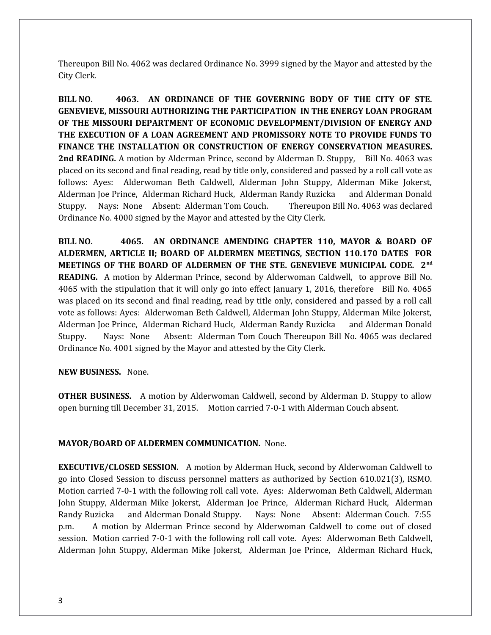Thereupon Bill No. 4062 was declared Ordinance No. 3999 signed by the Mayor and attested by the City Clerk.

**BILL NO. 4063. AN ORDINANCE OF THE GOVERNING BODY OF THE CITY OF STE. GENEVIEVE, MISSOURI AUTHORIZING THE PARTICIPATION IN THE ENERGY LOAN PROGRAM OF THE MISSOURI DEPARTMENT OF ECONOMIC DEVELOPMENT/DIVISION OF ENERGY AND THE EXECUTION OF A LOAN AGREEMENT AND PROMISSORY NOTE TO PROVIDE FUNDS TO FINANCE THE INSTALLATION OR CONSTRUCTION OF ENERGY CONSERVATION MEASURES. 2nd READING.** A motion by Alderman Prince, second by Alderman D. Stuppy, Bill No. 4063 was placed on its second and final reading, read by title only, considered and passed by a roll call vote as follows: Ayes: Alderwoman Beth Caldwell, Alderman John Stuppy, Alderman Mike Jokerst, Alderman Joe Prince, Alderman Richard Huck, Alderman Randy Ruzicka and Alderman Donald Stuppy. Nays: None Absent: Alderman Tom Couch. Thereupon Bill No. 4063 was declared Ordinance No. 4000 signed by the Mayor and attested by the City Clerk.

**BILL NO. 4065. AN ORDINANCE AMENDING CHAPTER 110, MAYOR & BOARD OF ALDERMEN, ARTICLE II; BOARD OF ALDERMEN MEETINGS, SECTION 110.170 DATES FOR MEETINGS OF THE BOARD OF ALDERMEN OF THE STE. GENEVIEVE MUNICIPAL CODE. 2nd READING.** A motion by Alderman Prince, second by Alderwoman Caldwell, to approve Bill No. 4065 with the stipulation that it will only go into effect January 1, 2016, therefore Bill No. 4065 was placed on its second and final reading, read by title only, considered and passed by a roll call vote as follows: Ayes: Alderwoman Beth Caldwell, Alderman John Stuppy, Alderman Mike Jokerst, Alderman Joe Prince, Alderman Richard Huck, Alderman Randy Ruzicka and Alderman Donald Stuppy. Nays: None Absent: Alderman Tom Couch Thereupon Bill No. 4065 was declared Ordinance No. 4001 signed by the Mayor and attested by the City Clerk.

## **NEW BUSINESS.** None.

**OTHER BUSINESS.** A motion by Alderwoman Caldwell, second by Alderman D. Stuppy to allow open burning till December 31, 2015. Motion carried 7-0-1 with Alderman Couch absent.

#### **MAYOR/BOARD OF ALDERMEN COMMUNICATION.** None.

**EXECUTIVE/CLOSED SESSION.** A motion by Alderman Huck, second by Alderwoman Caldwell to go into Closed Session to discuss personnel matters as authorized by Section 610.021(3), RSMO. Motion carried 7-0-1 with the following roll call vote. Ayes: Alderwoman Beth Caldwell, Alderman John Stuppy, Alderman Mike Jokerst, Alderman Joe Prince, Alderman Richard Huck, Alderman Randy Ruzicka and Alderman Donald Stuppy. Nays: None Absent: Alderman Couch. 7:55 p.m. A motion by Alderman Prince second by Alderwoman Caldwell to come out of closed session. Motion carried 7-0-1 with the following roll call vote. Ayes: Alderwoman Beth Caldwell, Alderman John Stuppy, Alderman Mike Jokerst, Alderman Joe Prince, Alderman Richard Huck,